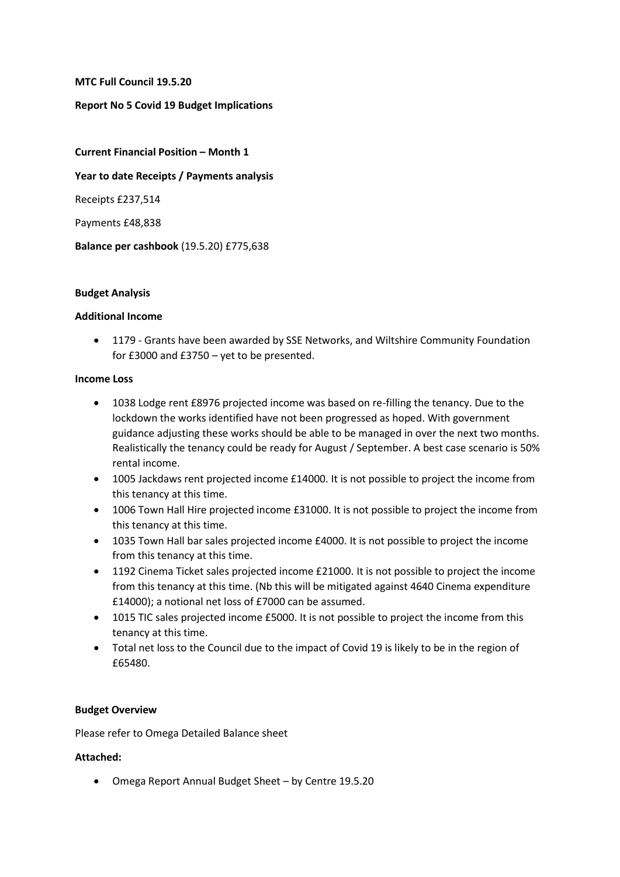**MTC Full Council 19.5.20**

# **Report No 5 Covid 19 Budget Implications**

**Current Financial Position – Month 1 Year to date Receipts / Payments analysis** Receipts £237,514 Payments £48,838 **Balance per cashbook** (19.5.20) £775,638

### **Budget Analysis**

### **Additional Income**

 1179 - Grants have been awarded by SSE Networks, and Wiltshire Community Foundation for £3000 and £3750 – yet to be presented.

#### **Income Loss**

- 1038 Lodge rent £8976 projected income was based on re-filling the tenancy. Due to the lockdown the works identified have not been progressed as hoped. With government guidance adjusting these works should be able to be managed in over the next two months. Realistically the tenancy could be ready for August / September. A best case scenario is 50% rental income.
- 1005 Jackdaws rent projected income £14000. It is not possible to project the income from this tenancy at this time.
- 1006 Town Hall Hire projected income £31000. It is not possible to project the income from this tenancy at this time.
- 1035 Town Hall bar sales projected income £4000. It is not possible to project the income from this tenancy at this time.
- 1192 Cinema Ticket sales projected income £21000. It is not possible to project the income from this tenancy at this time. (Nb this will be mitigated against 4640 Cinema expenditure £14000); a notional net loss of £7000 can be assumed.
- 1015 TIC sales projected income £5000. It is not possible to project the income from this tenancy at this time.
- Total net loss to the Council due to the impact of Covid 19 is likely to be in the region of £65480.

# **Budget Overview**

Please refer to Omega Detailed Balance sheet

# **Attached:**

Omega Report Annual Budget Sheet – by Centre 19.5.20